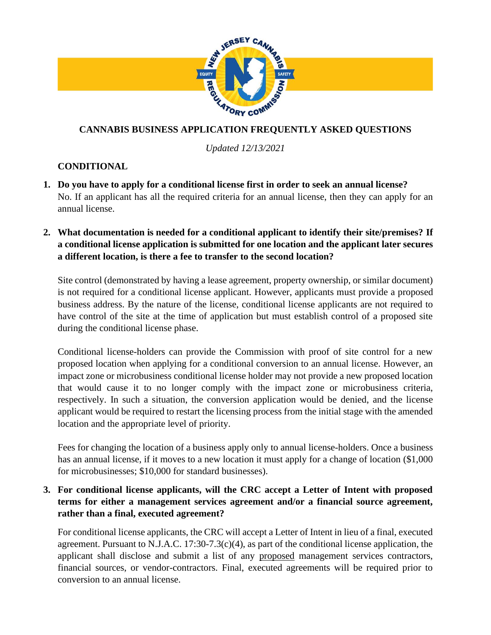

*Updated 12/13/2021*

# **CONDITIONAL**

- **1. Do you have to apply for a conditional license first in order to seek an annual license?** No. If an applicant has all the required criteria for an annual license, then they can apply for an annual license.
- **2. What documentation is needed for a conditional applicant to identify their site/premises? If a conditional license application is submitted for one location and the applicant later secures a different location, is there a fee to transfer to the second location?**

Site control (demonstrated by having a lease agreement, property ownership, or similar document) is not required for a conditional license applicant. However, applicants must provide a proposed business address. By the nature of the license, conditional license applicants are not required to have control of the site at the time of application but must establish control of a proposed site during the conditional license phase.

Conditional license-holders can provide the Commission with proof of site control for a new proposed location when applying for a conditional conversion to an annual license. However, an impact zone or microbusiness conditional license holder may not provide a new proposed location that would cause it to no longer comply with the impact zone or microbusiness criteria, respectively. In such a situation, the conversion application would be denied, and the license applicant would be required to restart the licensing process from the initial stage with the amended location and the appropriate level of priority.

Fees for changing the location of a business apply only to annual license-holders. Once a business has an annual license, if it moves to a new location it must apply for a change of location  $(\$1,000$ for microbusinesses; \$10,000 for standard businesses).

**3. For conditional license applicants, will the CRC accept a Letter of Intent with proposed terms for either a management services agreement and/or a financial source agreement, rather than a final, executed agreement?**

For conditional license applicants, the CRC will accept a Letter of Intent in lieu of a final, executed agreement. Pursuant to N.J.A.C. 17:30-7.3(c)(4), as part of the conditional license application, the applicant shall disclose and submit a list of any proposed management services contractors, financial sources, or vendor-contractors. Final, executed agreements will be required prior to conversion to an annual license.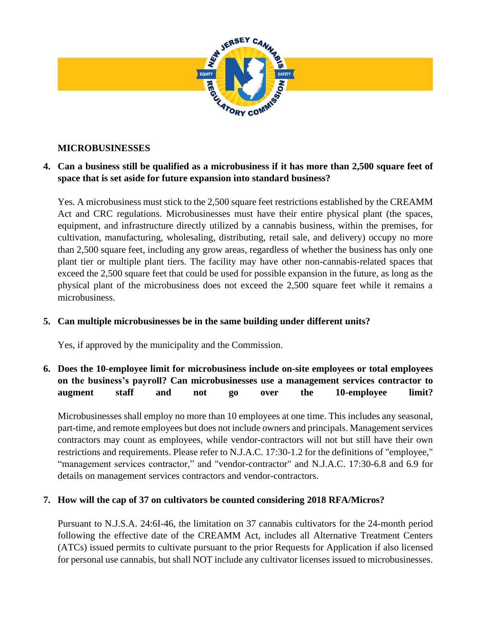

## **MICROBUSINESSES**

## **4. Can a business still be qualified as a microbusiness if it has more than 2,500 square feet of space that is set aside for future expansion into standard business?**

Yes. A microbusiness must stick to the 2,500 square feet restrictions established by the CREAMM Act and CRC regulations. Microbusinesses must have their entire physical plant (the spaces, equipment, and infrastructure directly utilized by a cannabis business, within the premises, for cultivation, manufacturing, wholesaling, distributing, retail sale, and delivery) occupy no more than 2,500 square feet, including any grow areas, regardless of whether the business has only one plant tier or multiple plant tiers. The facility may have other non-cannabis-related spaces that exceed the 2,500 square feet that could be used for possible expansion in the future, as long as the physical plant of the microbusiness does not exceed the 2,500 square feet while it remains a microbusiness.

#### **5. Can multiple microbusinesses be in the same building under different units?**

Yes, if approved by the municipality and the Commission.

# **6. Does the 10-employee limit for microbusiness include on-site employees or total employees on the business's payroll? Can microbusinesses use a management services contractor to augment staff and not go over the 10-employee limit?**

Microbusinesses shall employ no more than 10 employees at one time. This includes any seasonal, part-time, and remote employees but does not include owners and principals. Management services contractors may count as employees, while vendor-contractors will not but still have their own restrictions and requirements. Please refer to N.J.A.C. 17:30-1.2 for the definitions of "employee," "management services contractor," and "vendor-contractor" and N.J.A.C. 17:30-6.8 and 6.9 for details on management services contractors and vendor-contractors.

#### **7. How will the cap of 37 on cultivators be counted considering 2018 RFA/Micros?**

Pursuant to N.J.S.A. 24:6I-46, the limitation on 37 cannabis cultivators for the 24-month period following the effective date of the CREAMM Act, includes all Alternative Treatment Centers (ATCs) issued permits to cultivate pursuant to the prior Requests for Application if also licensed for personal use cannabis, but shall NOT include any cultivator licenses issued to microbusinesses.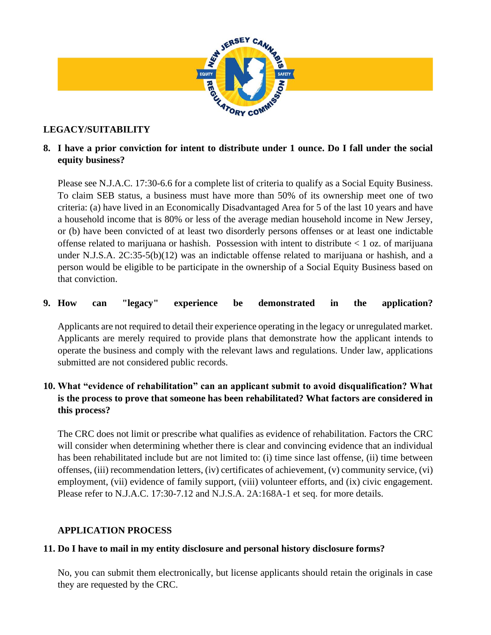

## **LEGACY/SUITABILITY**

# **8. I have a prior conviction for intent to distribute under 1 ounce. Do I fall under the social equity business?**

Please see N.J.A.C. 17:30-6.6 for a complete list of criteria to qualify as a Social Equity Business. To claim SEB status, a business must have more than 50% of its ownership meet one of two criteria: (a) have lived in an Economically Disadvantaged Area for 5 of the last 10 years and have a household income that is 80% or less of the average median household income in New Jersey, or (b) have been convicted of at least two disorderly persons offenses or at least one indictable offense related to marijuana or hashish. Possession with intent to distribute < 1 oz. of marijuana under N.J.S.A. 2C:35-5(b)(12) was an indictable offense related to marijuana or hashish, and a person would be eligible to be participate in the ownership of a Social Equity Business based on that conviction.

#### **9. How can "legacy" experience be demonstrated in the application?**

Applicants are not required to detail their experience operating in the legacy or unregulated market. Applicants are merely required to provide plans that demonstrate how the applicant intends to operate the business and comply with the relevant laws and regulations. Under law, applications submitted are not considered public records.

# **10. What "evidence of rehabilitation" can an applicant submit to avoid disqualification? What is the process to prove that someone has been rehabilitated? What factors are considered in this process?**

The CRC does not limit or prescribe what qualifies as evidence of rehabilitation. Factors the CRC will consider when determining whether there is clear and convincing evidence that an individual has been rehabilitated include but are not limited to: (i) time since last offense, (ii) time between offenses, (iii) recommendation letters, (iv) certificates of achievement, (v) community service, (vi) employment, (vii) evidence of family support, (viii) volunteer efforts, and (ix) civic engagement. Please refer to N.J.A.C. 17:30-7.12 and N.J.S.A. 2A:168A-1 et seq. for more details.

#### **APPLICATION PROCESS**

#### **11. Do I have to mail in my entity disclosure and personal history disclosure forms?**

No, you can submit them electronically, but license applicants should retain the originals in case they are requested by the CRC.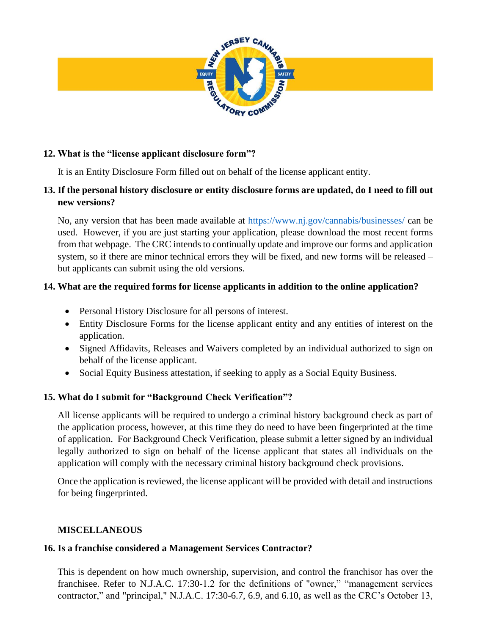

#### **12. What is the "license applicant disclosure form"?**

It is an Entity Disclosure Form filled out on behalf of the license applicant entity.

#### **13. If the personal history disclosure or entity disclosure forms are updated, do I need to fill out new versions?**

No, any version that has been made available at<https://www.nj.gov/cannabis/businesses/> can be used. However, if you are just starting your application, please download the most recent forms from that webpage. The CRC intends to continually update and improve our forms and application system, so if there are minor technical errors they will be fixed, and new forms will be released – but applicants can submit using the old versions.

## **14. What are the required forms for license applicants in addition to the online application?**

- Personal History Disclosure for all persons of interest.
- Entity Disclosure Forms for the license applicant entity and any entities of interest on the application.
- Signed Affidavits, Releases and Waivers completed by an individual authorized to sign on behalf of the license applicant.
- Social Equity Business attestation, if seeking to apply as a Social Equity Business.

# **15. What do I submit for "Background Check Verification"?**

All license applicants will be required to undergo a criminal history background check as part of the application process, however, at this time they do need to have been fingerprinted at the time of application. For Background Check Verification, please submit a letter signed by an individual legally authorized to sign on behalf of the license applicant that states all individuals on the application will comply with the necessary criminal history background check provisions.

Once the application is reviewed, the license applicant will be provided with detail and instructions for being fingerprinted.

#### **MISCELLANEOUS**

#### **16. Is a franchise considered a Management Services Contractor?**

This is dependent on how much ownership, supervision, and control the franchisor has over the franchisee. Refer to N.J.A.C. 17:30-1.2 for the definitions of "owner," "management services contractor," and "principal," N.J.A.C. 17:30-6.7, 6.9, and 6.10, as well as the CRC's October 13,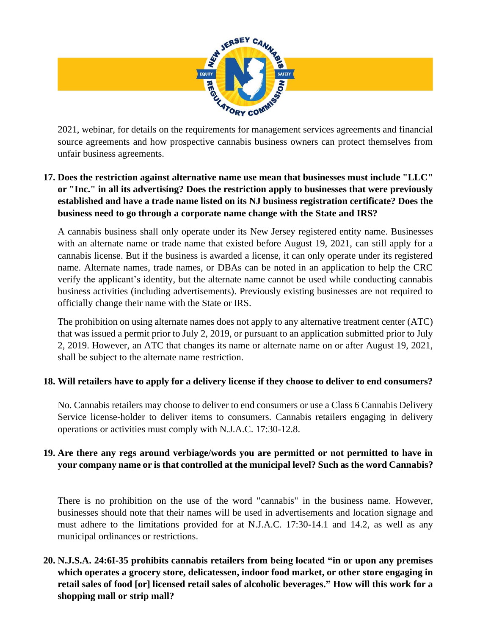

source agreements and how prospective cannabis business owners can protect themselves from unfair business agreements.

# **17. Does the restriction against alternative name use mean that businesses must include "LLC" or "Inc." in all its advertising? Does the restriction apply to businesses that were previously established and have a trade name listed on its NJ business registration certificate? Does the business need to go through a corporate name change with the State and IRS?**

A cannabis business shall only operate under its New Jersey registered entity name. Businesses with an alternate name or trade name that existed before August 19, 2021, can still apply for a cannabis license. But if the business is awarded a license, it can only operate under its registered name. Alternate names, trade names, or DBAs can be noted in an application to help the CRC verify the applicant's identity, but the alternate name cannot be used while conducting cannabis business activities (including advertisements). Previously existing businesses are not required to officially change their name with the State or IRS.

The prohibition on using alternate names does not apply to any alternative treatment center (ATC) that was issued a permit prior to July 2, 2019, or pursuant to an application submitted prior to July 2, 2019. However, an ATC that changes its name or alternate name on or after August 19, 2021, shall be subject to the alternate name restriction.

#### **18. Will retailers have to apply for a delivery license if they choose to deliver to end consumers?**

No. Cannabis retailers may choose to deliver to end consumers or use a Class 6 Cannabis Delivery Service license-holder to deliver items to consumers. Cannabis retailers engaging in delivery operations or activities must comply with N.J.A.C. 17:30-12.8.

## **19. Are there any regs around verbiage/words you are permitted or not permitted to have in your company name or is that controlled at the municipal level? Such as the word Cannabis?**

There is no prohibition on the use of the word "cannabis" in the business name. However, businesses should note that their names will be used in advertisements and location signage and must adhere to the limitations provided for at N.J.A.C. 17:30-14.1 and 14.2, as well as any municipal ordinances or restrictions.

**20. N.J.S.A. 24:6I-35 prohibits cannabis retailers from being located "in or upon any premises which operates a grocery store, delicatessen, indoor food market, or other store engaging in retail sales of food [or] licensed retail sales of alcoholic beverages." How will this work for a shopping mall or strip mall?**